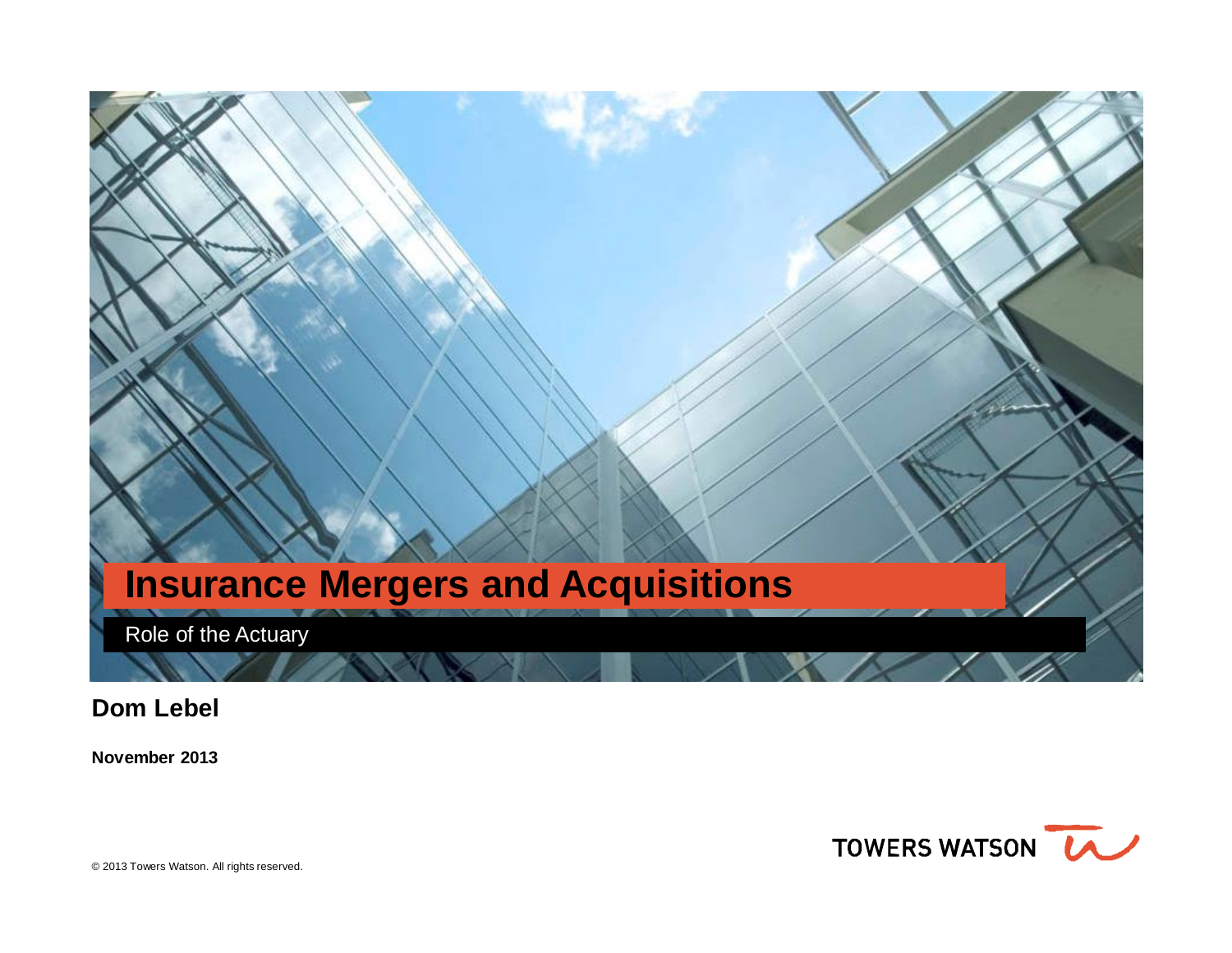

**Dom Lebel** 

**November 2013**

TOWERS WATSON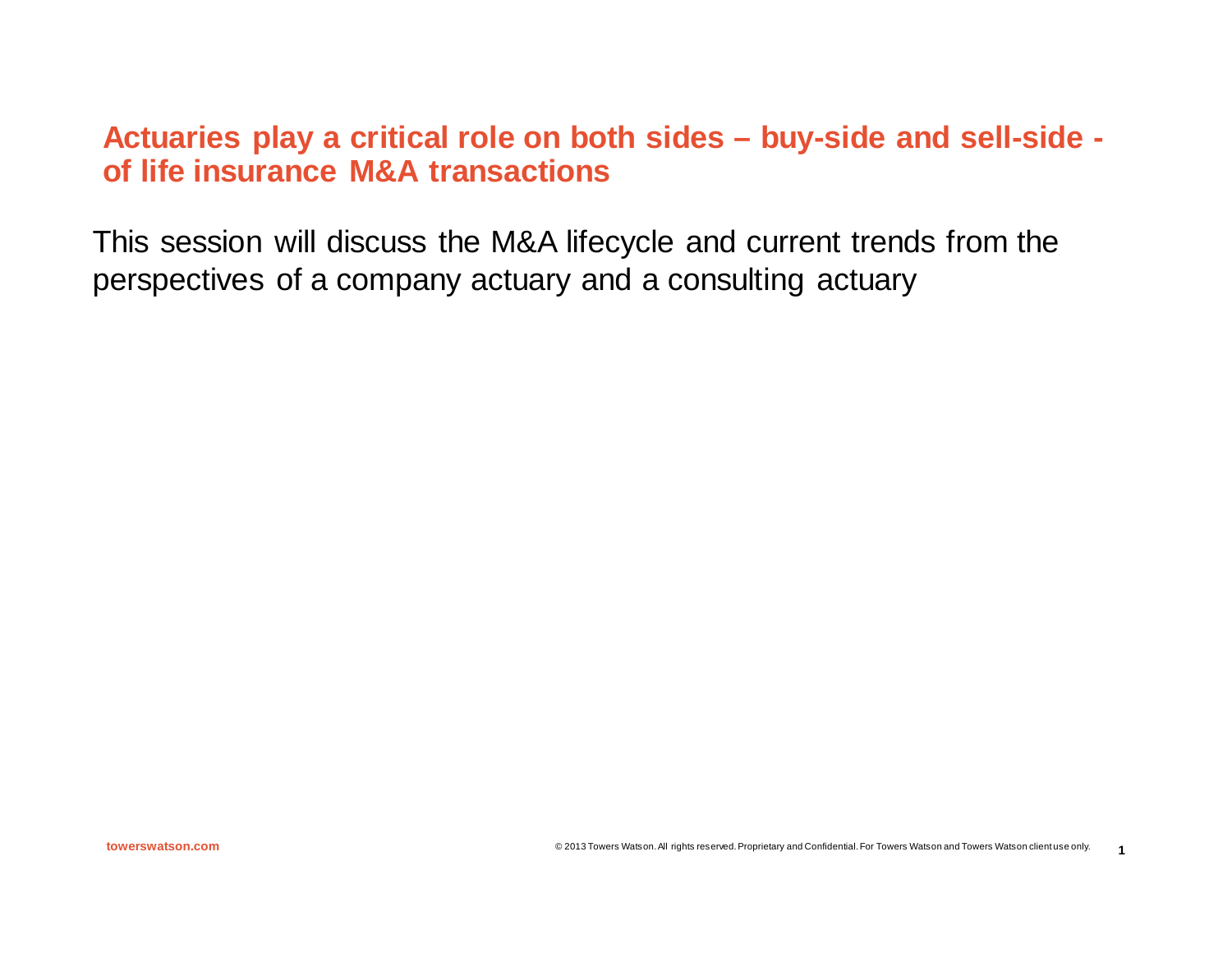# **Actuaries play a critical role on both sides – buy-side and sell-side of life insurance M&A transactions**

This session will discuss the M&A lifecycle and current trends from the perspectives of a company actuary and a consulting actuary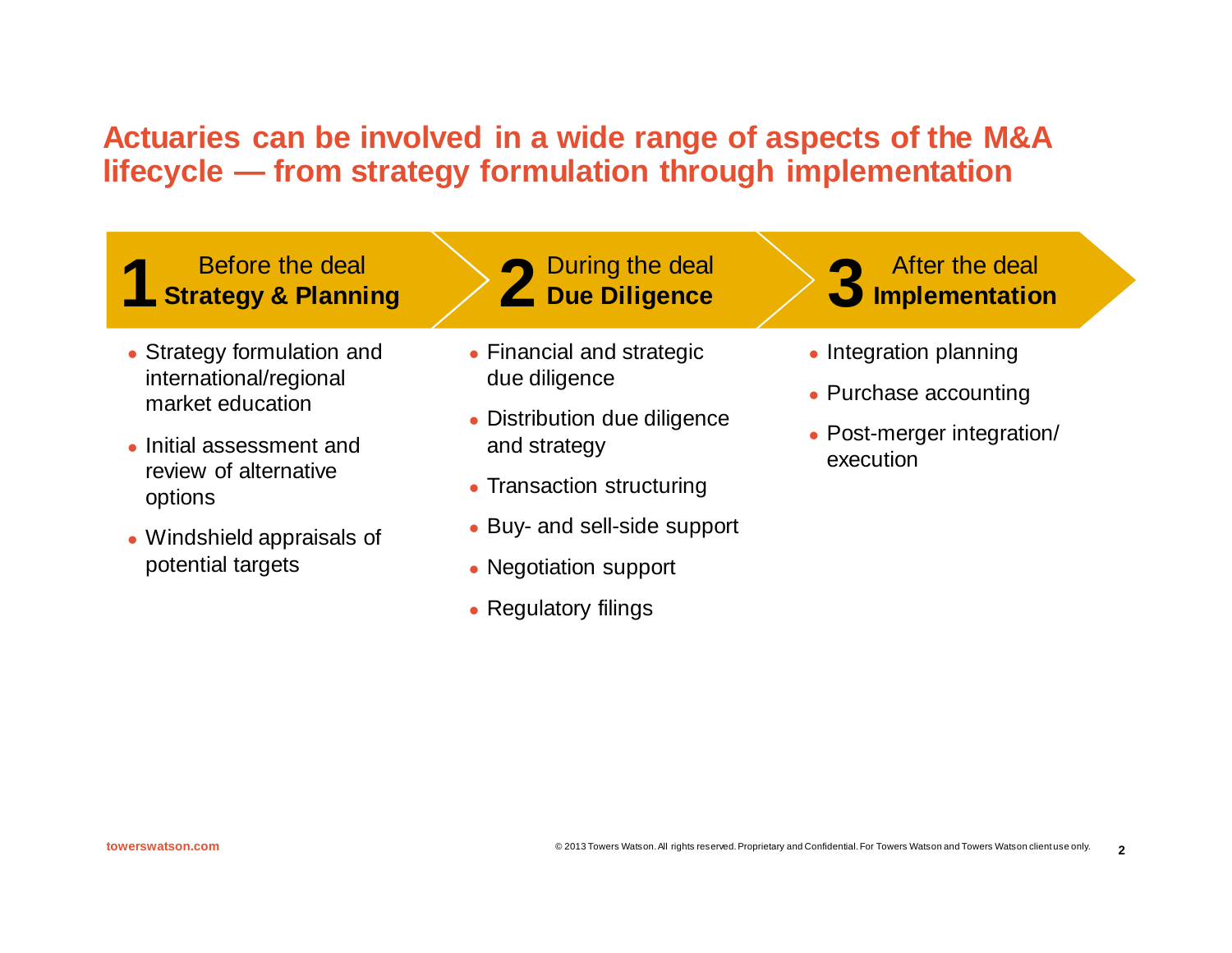# **Actuaries can be involved in a wide range of aspects of the M&A lifecycle — from strategy formulation through implementation**

# **1 Before the deal <b>1 1 Strategy & Planning 2 2 Due Diligence 2 3**

- Strategy formulation and international/regional market education
- Initial assessment and review of alternative options
- Windshield appraisals of potential targets

During the deal

- Financial and strategic due diligence
- Distribution due diligence and strategy
- Transaction structuring
- Buy- and sell-side support
- Negotiation support
- Regulatory filings
- After the deal **Implementation**
- $\bullet$  Integration planning
- Purchase accounting
- Post-merger integration/ execution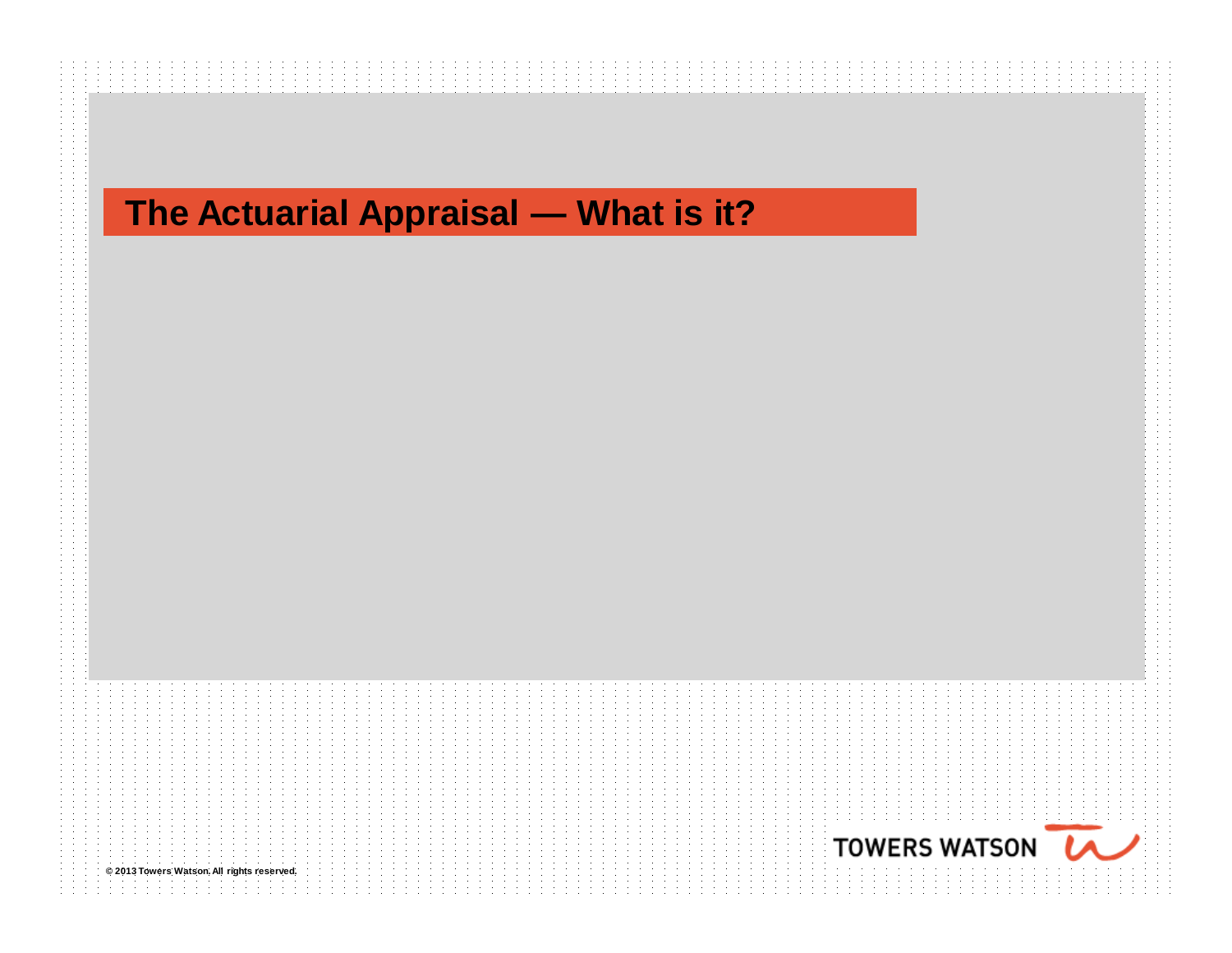# **The Actuarial Appraisal — What is it?**

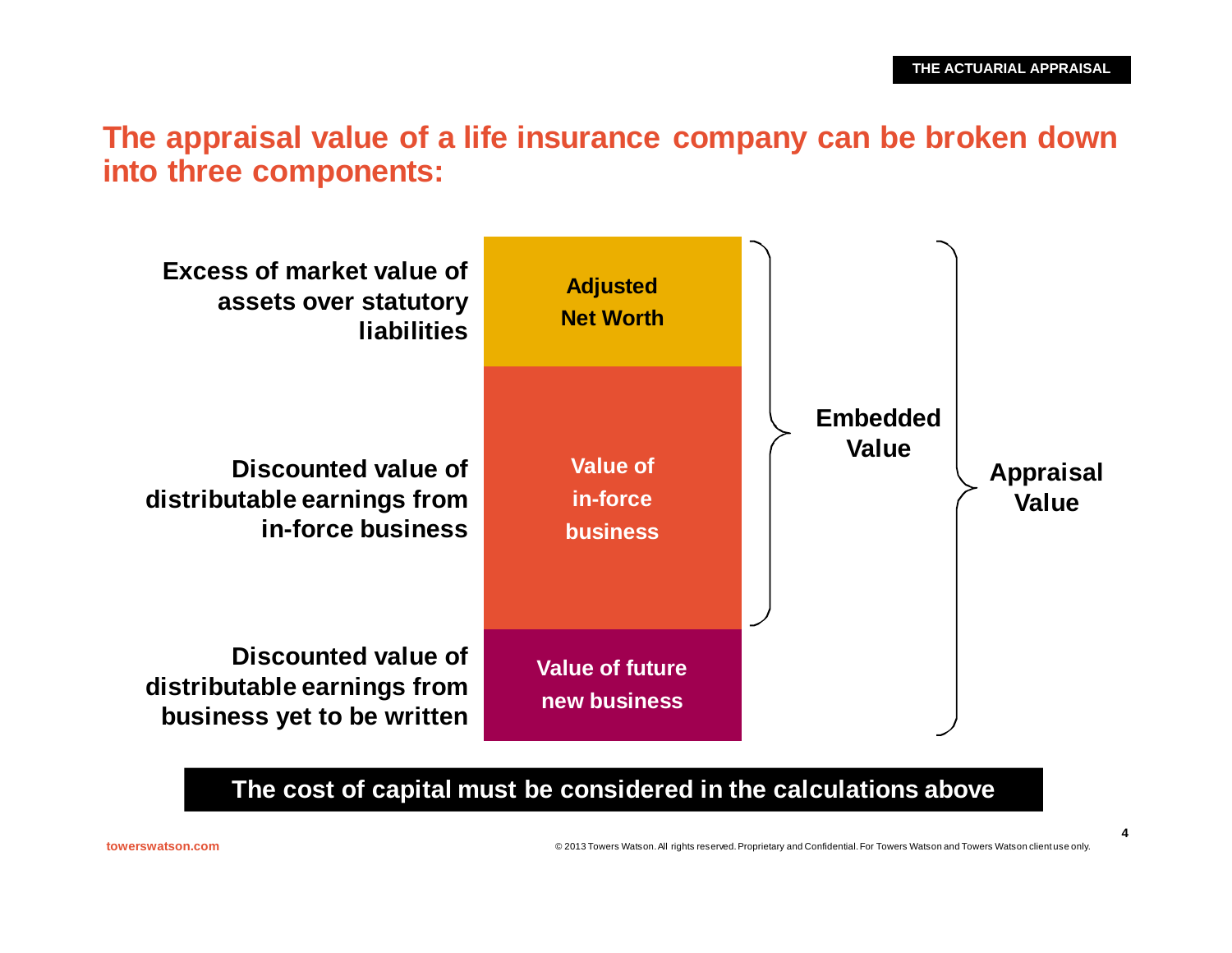## **The appraisal value of a life insurance company can be broken down into three components:**



**The cost of capital must be considered in the calculations above**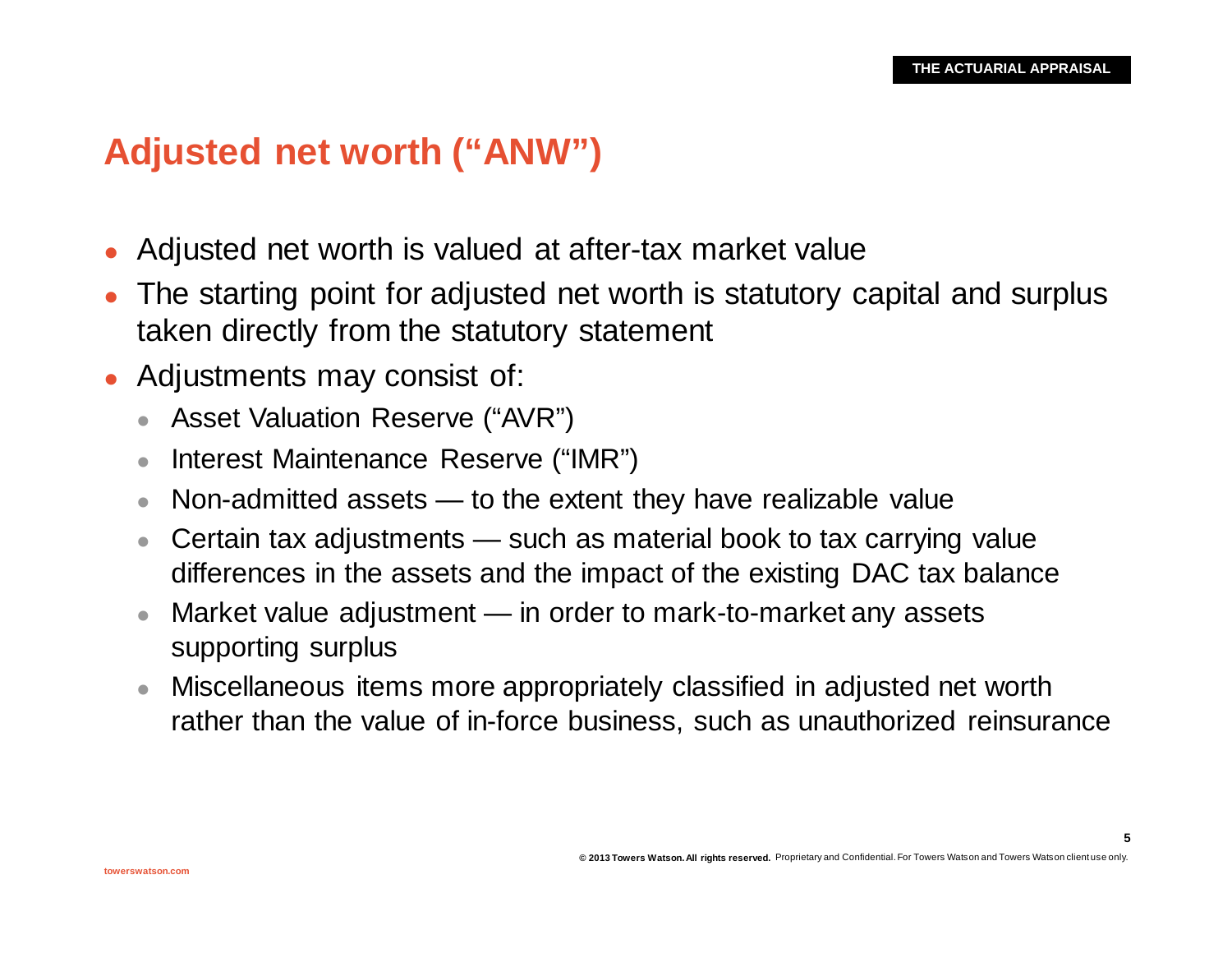**5**

# **Adjusted net worth ("ANW")**

- Adjusted net worth is valued at after-tax market value
- The starting point for adjusted net worth is statutory capital and surplus taken directly from the statutory statement
- Adjustments may consist of:
	- Asset Valuation Reserve ("AVR")
	- Interest Maintenance Reserve ("IMR")
	- $\bullet$  Non-admitted assets  $\leftarrow$  to the extent they have realizable value
	- **Certain tax adjustments such as material book to tax carrying value** differences in the assets and the impact of the existing DAC tax balance
	- $\bullet$  Market value adjustment in order to mark-to-market any assets supporting surplus
	- Miscellaneous items more appropriately classified in adjusted net worth rather than the value of in-force business, such as unauthorized reinsurance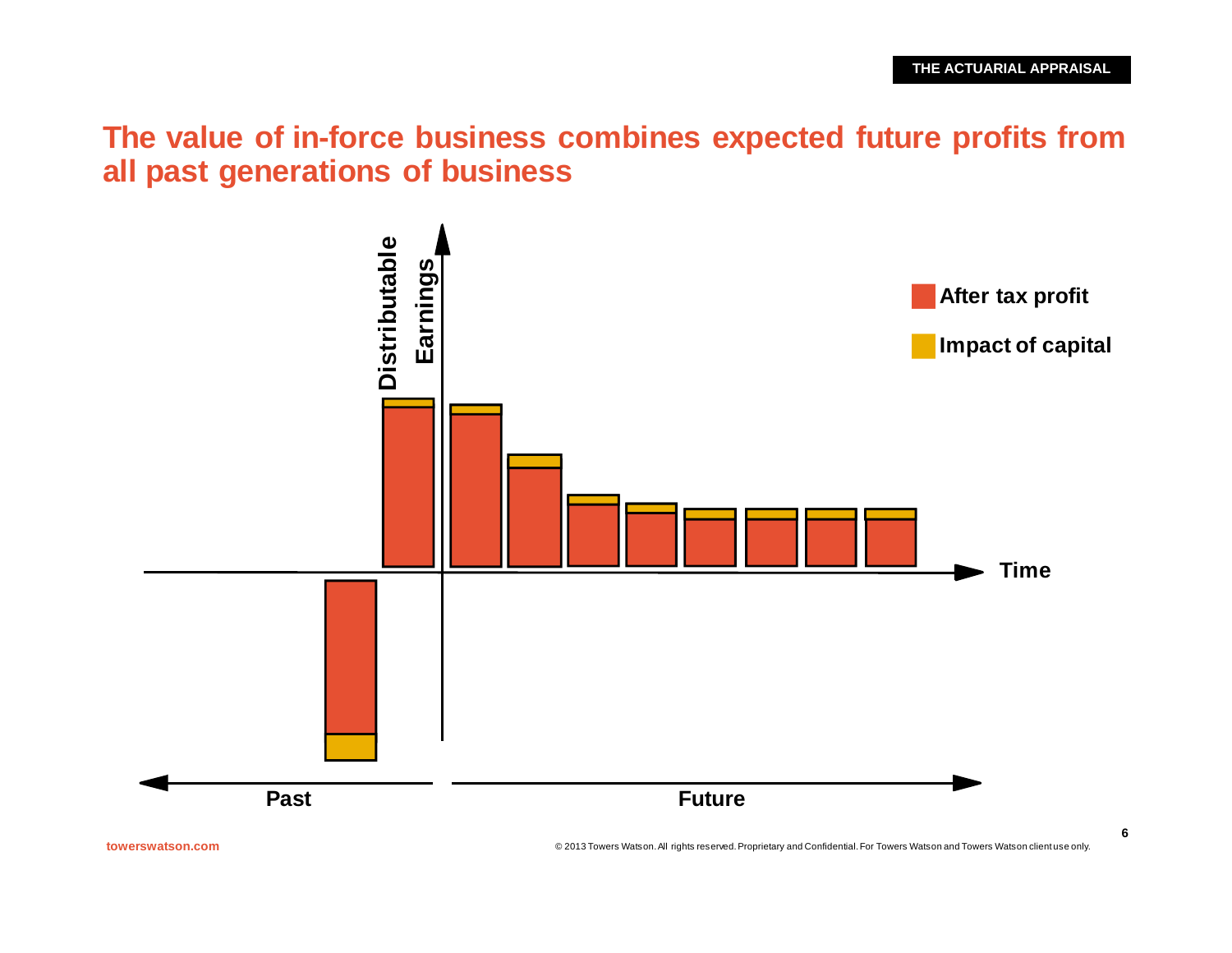**The value of in-force business combines expected future profits from all past generations of business**



**towerswatson.com** © 2013 Towers Watson. All rights reserved. Proprietary and Confidential. For Towers Watson and Towers Watson client use only.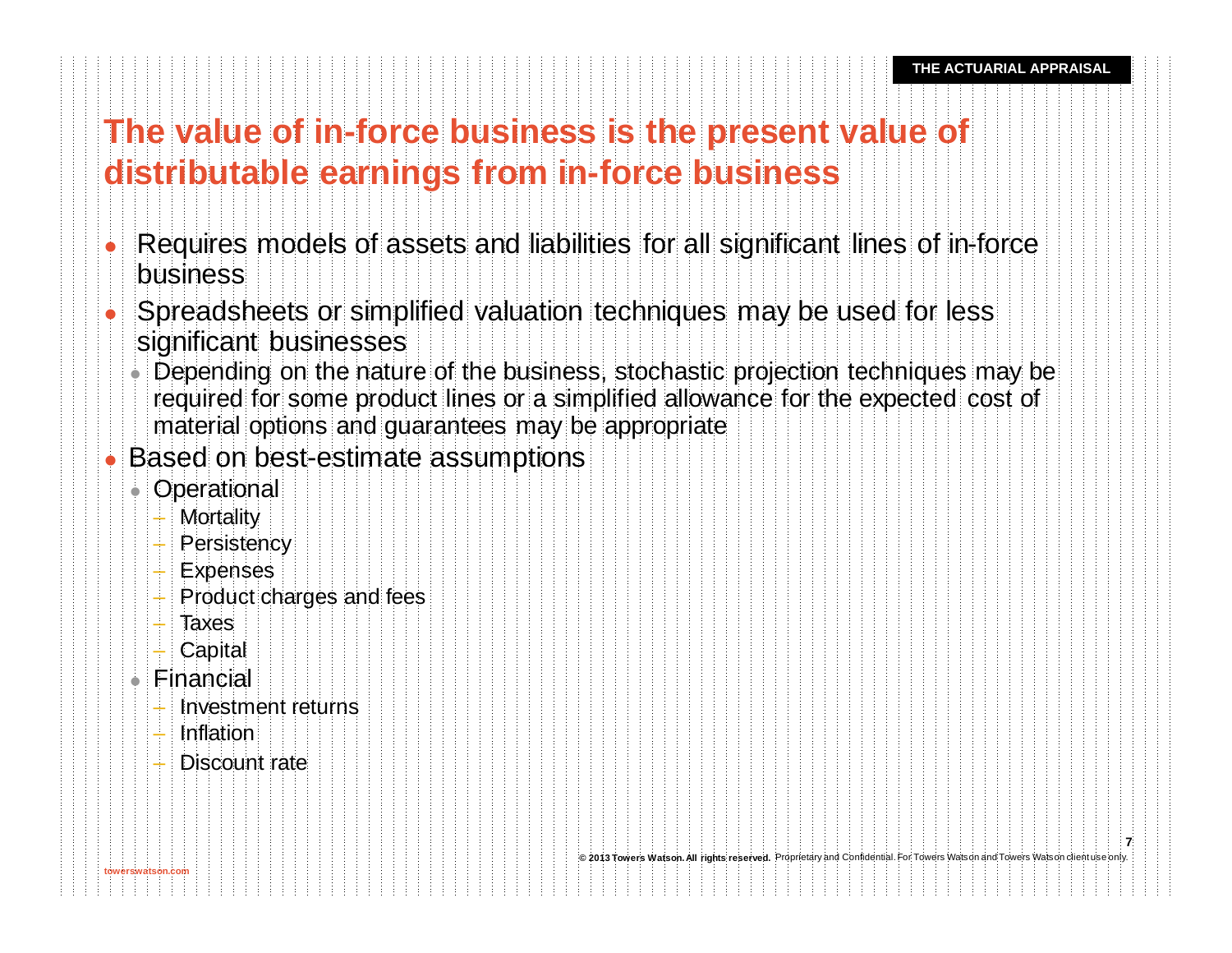# **The value of in-force business is the present value of distributable earnings from in-force business**

- Requires models of assets and liabilities for all significant lines of in-force business
- <sup>l</sup> Spreadsheets or simplified valuation techniques may be used for less significant businesses
	- Depending on the nature of the business, stochastic projection techniques may be required for some product lines or a simplified allowance for the expected cost of material options and guarantees may be appropriate
- Based on best-estimate assumptions
	- Operational
		- Mortality
		- Persistency
		- Expenses
		- Product charges and fees
		- Taxes
		- Capital
	- $\bullet$  Financial

**towerswatson.com**

- Investment returns
- Inflation
- Discount rate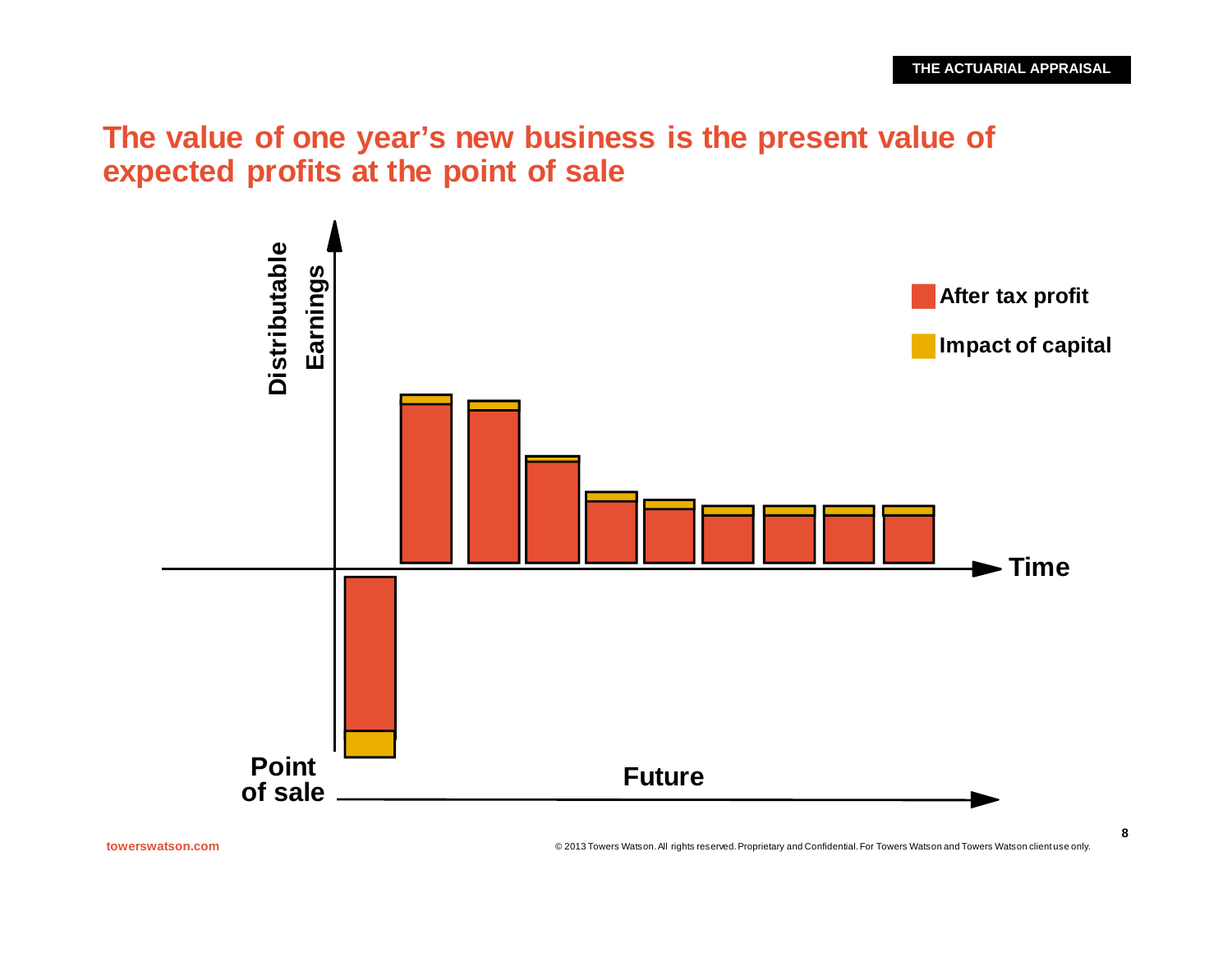## **The value of one year's new business is the present value of expected profits at the point of sale**



**towerswatson.com** © 2013 Towers Watson. All rights reserved. Proprietary and Confidential. For Towers Watson and Towers Watson client use only.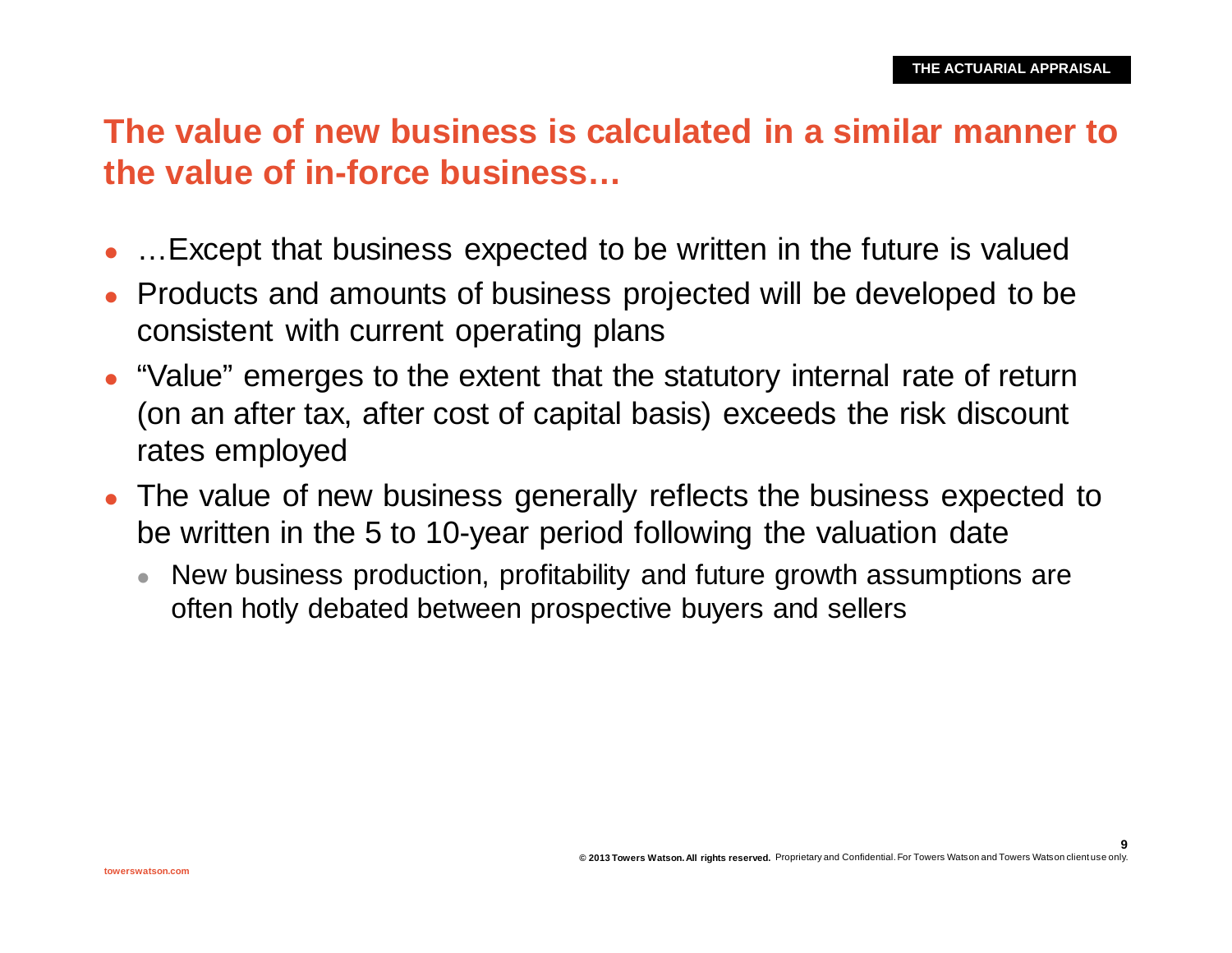# **The value of new business is calculated in a similar manner to the value of in-force business…**

- …Except that business expected to be written in the future is valued
- <sup>l</sup> Products and amounts of business projected will be developed to be consistent with current operating plans
- "Value" emerges to the extent that the statutory internal rate of return (on an after tax, after cost of capital basis) exceeds the risk discount rates employed
- The value of new business generally reflects the business expected to be written in the 5 to 10-year period following the valuation date
	- New business production, profitability and future growth assumptions are often hotly debated between prospective buyers and sellers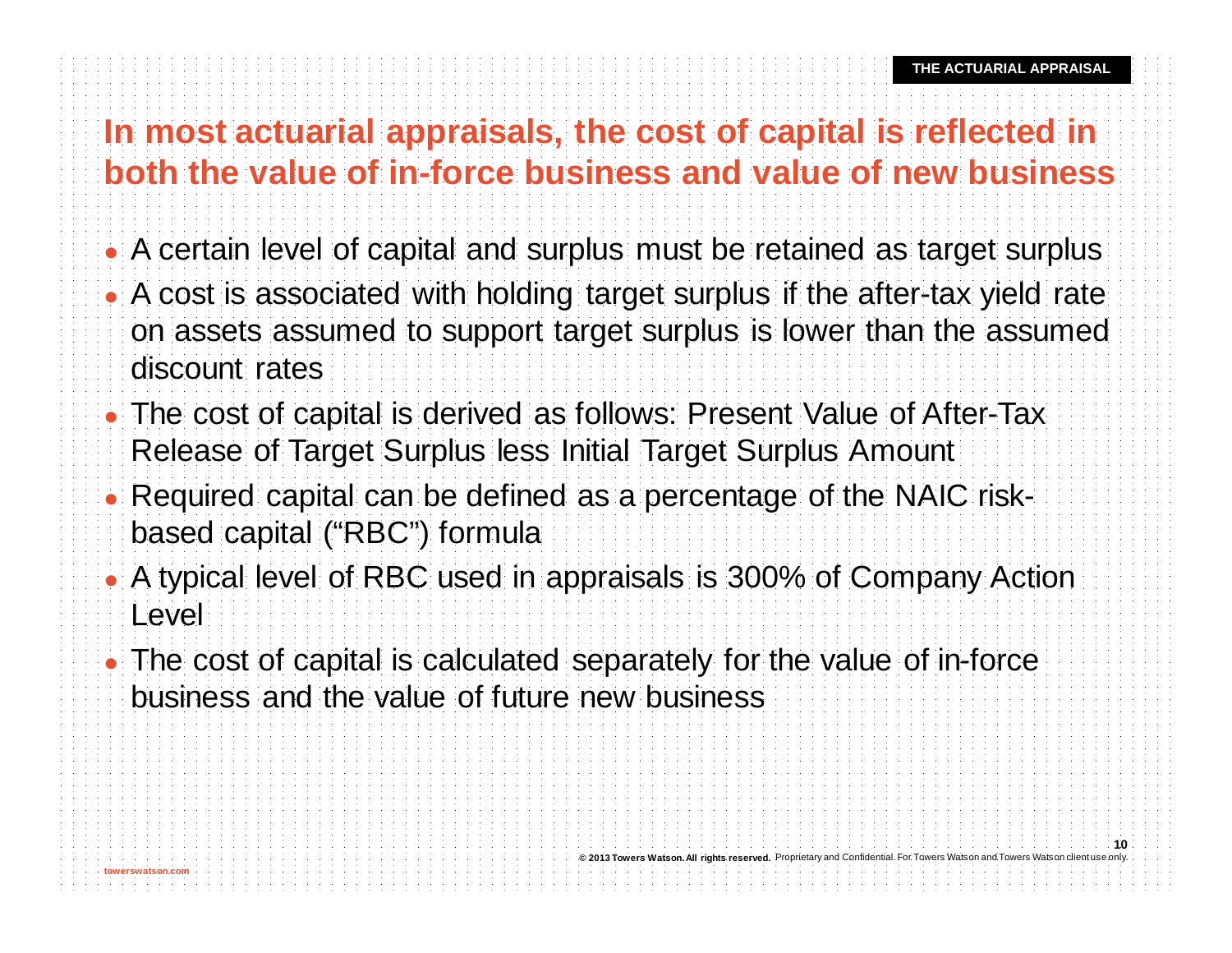# **In most actuarial appraisals, the cost of capital is reflected in both the value of in-force business and value of new business**

- A certain level of capital and surplus must be retained as target surplus
- A cost is associated with holding target surplus if the after-tax yield rate on assets assumed to support target surplus is lower than the assumed discount rates
- The cost of capital is derived as follows: Present Value of After-Tax Release of Target Surplus less Initial Target Surplus Amount
- Required capital can be defined as a percentage of the NAIC riskbased capital ("RBC") formula
- A typical level of RBC used in appraisals is 300% of Company Action Level
- The cost of capital is calculated separately for the value of in-force business and the value of future new business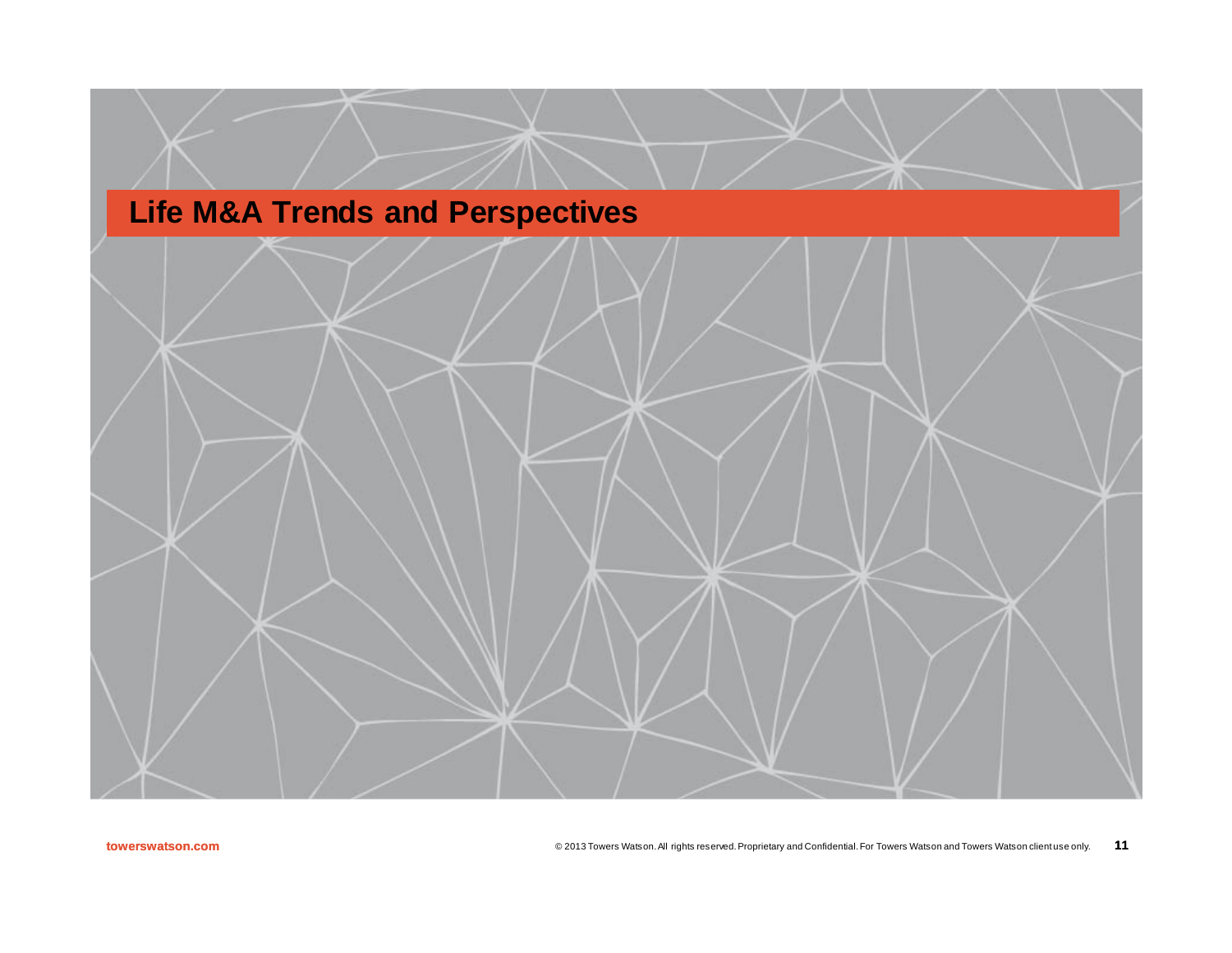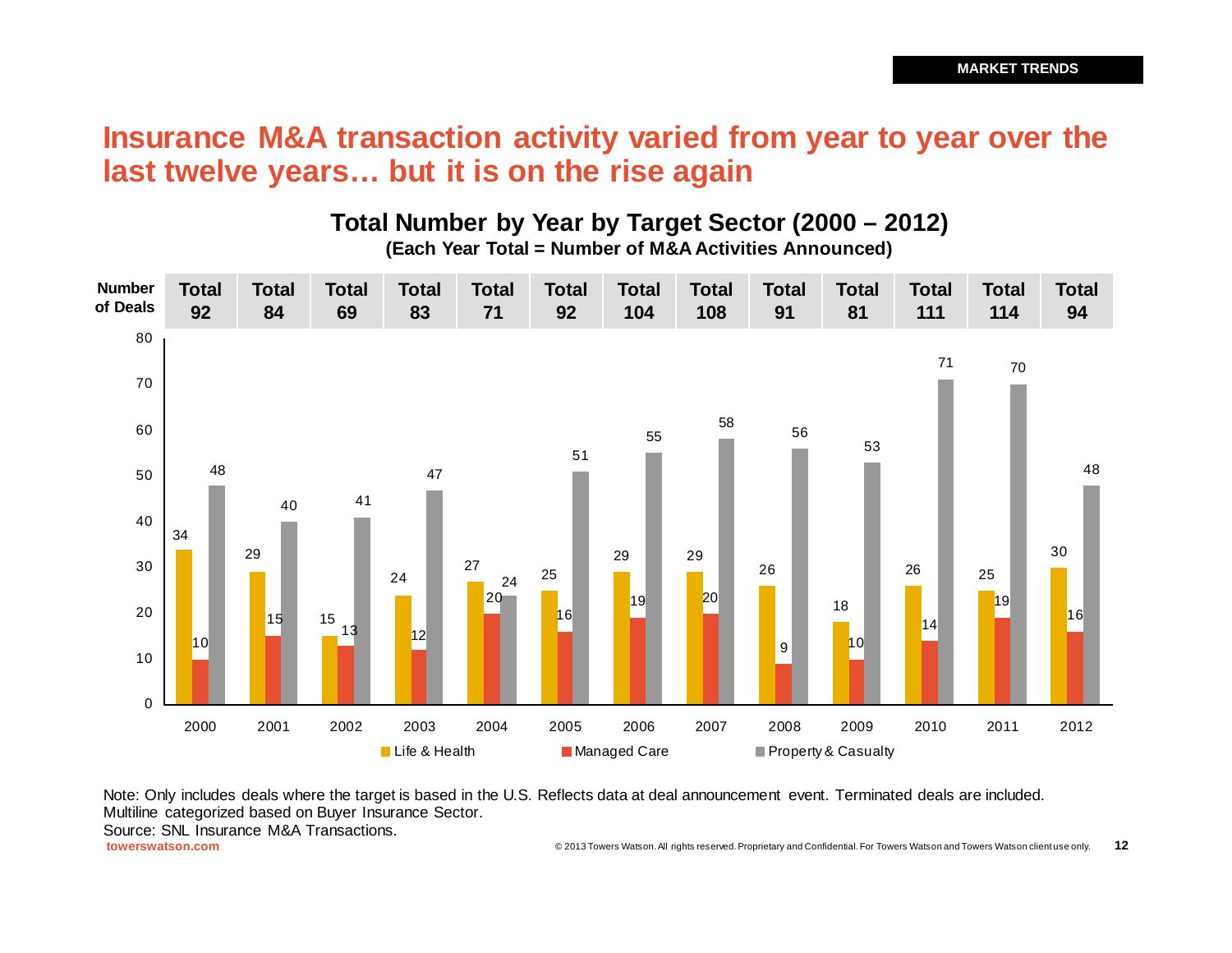#### **Insurance M&A transaction activity varied from year to year over the last twelve years… but it is on the rise again**

#### **Number of Deals** 29 25 19 20 <sup>56</sup> 70 13 | 12  $\Omega$  2001 2002 2003 2004 2005 2006 2007 2008 2009 2010 2011 2012 Life & Health **Managed Care** Property & Casualty **Total Total Total Total Total Total Total Total Total Total Total Total Total**

**Total Number by Year by Target Sector (2000 – 2012) (Each Year Total = Number of M&A Activities Announced)**

Note: Only includes deals where the target is based in the U.S. Reflects data at deal announcement event. Terminated deals are included. Multiline categorized based on Buyer Insurance Sector.

Source: SNL Insurance M&A Transactions.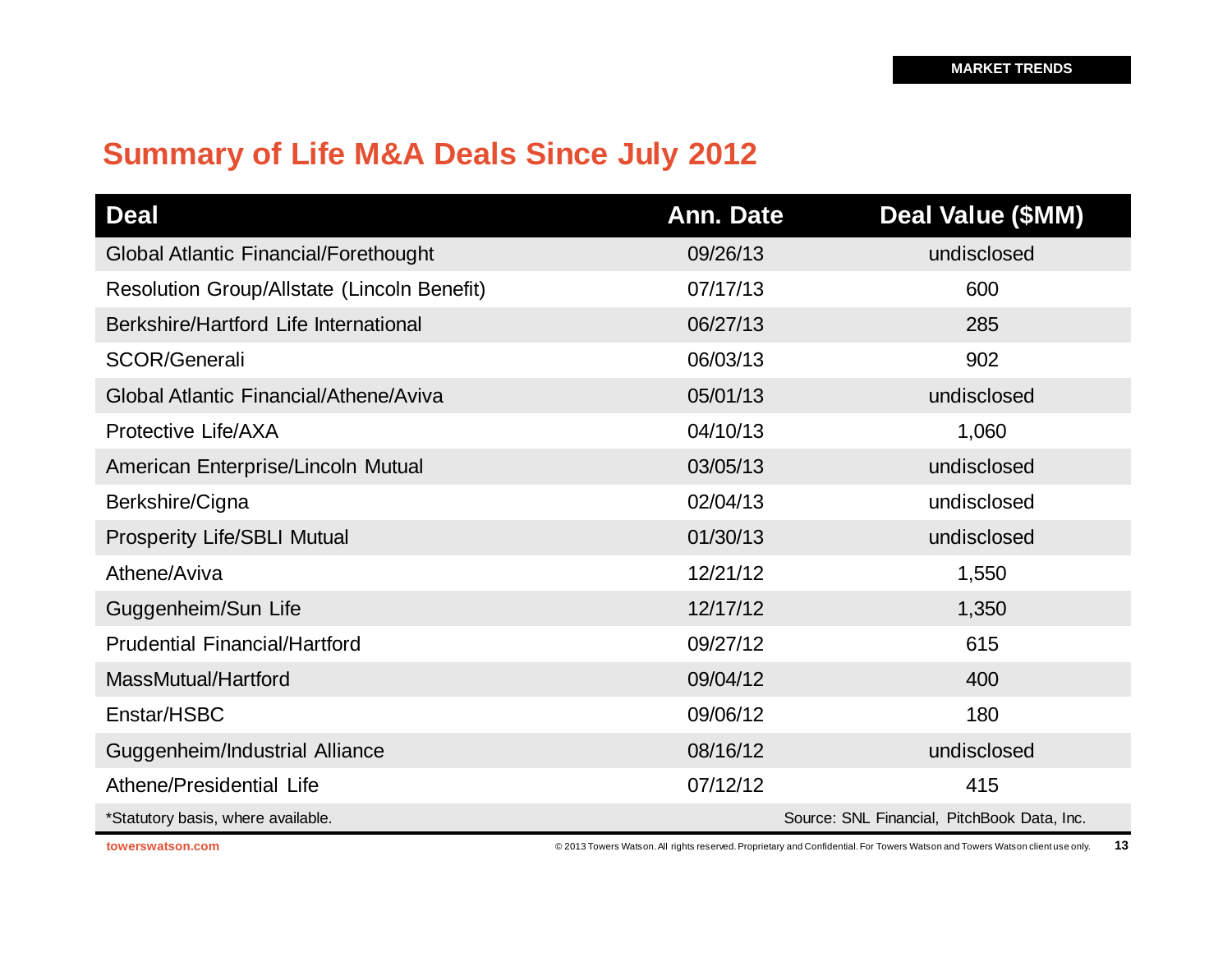# **Summary of Life M&A Deals Since July 2012**

| <b>Deal</b>                                  | Ann. Date | <b>Deal Value (\$MM)</b>                    |
|----------------------------------------------|-----------|---------------------------------------------|
| <b>Global Atlantic Financial/Forethought</b> | 09/26/13  | undisclosed                                 |
| Resolution Group/Allstate (Lincoln Benefit)  | 07/17/13  | 600                                         |
| Berkshire/Hartford Life International        | 06/27/13  | 285                                         |
| <b>SCOR/Generali</b>                         | 06/03/13  | 902                                         |
| Global Atlantic Financial/Athene/Aviva       | 05/01/13  | undisclosed                                 |
| Protective Life/AXA                          | 04/10/13  | 1,060                                       |
| American Enterprise/Lincoln Mutual           | 03/05/13  | undisclosed                                 |
| Berkshire/Cigna                              | 02/04/13  | undisclosed                                 |
| <b>Prosperity Life/SBLI Mutual</b>           | 01/30/13  | undisclosed                                 |
| Athene/Aviva                                 | 12/21/12  | 1,550                                       |
| Guggenheim/Sun Life                          | 12/17/12  | 1,350                                       |
| <b>Prudential Financial/Hartford</b>         | 09/27/12  | 615                                         |
| MassMutual/Hartford                          | 09/04/12  | 400                                         |
| Enstar/HSBC                                  | 09/06/12  | 180                                         |
| Guggenheim/Industrial Alliance               | 08/16/12  | undisclosed                                 |
| Athene/Presidential Life                     | 07/12/12  | 415                                         |
| *Statutory basis, where available.           |           | Source: SNL Financial, PitchBook Data, Inc. |

**towerswatson.com Exercise 2013 Towers Watson. All rights reserved. Proprietary and Confidential. For Towers Watson and Towers Watson client use only. 13**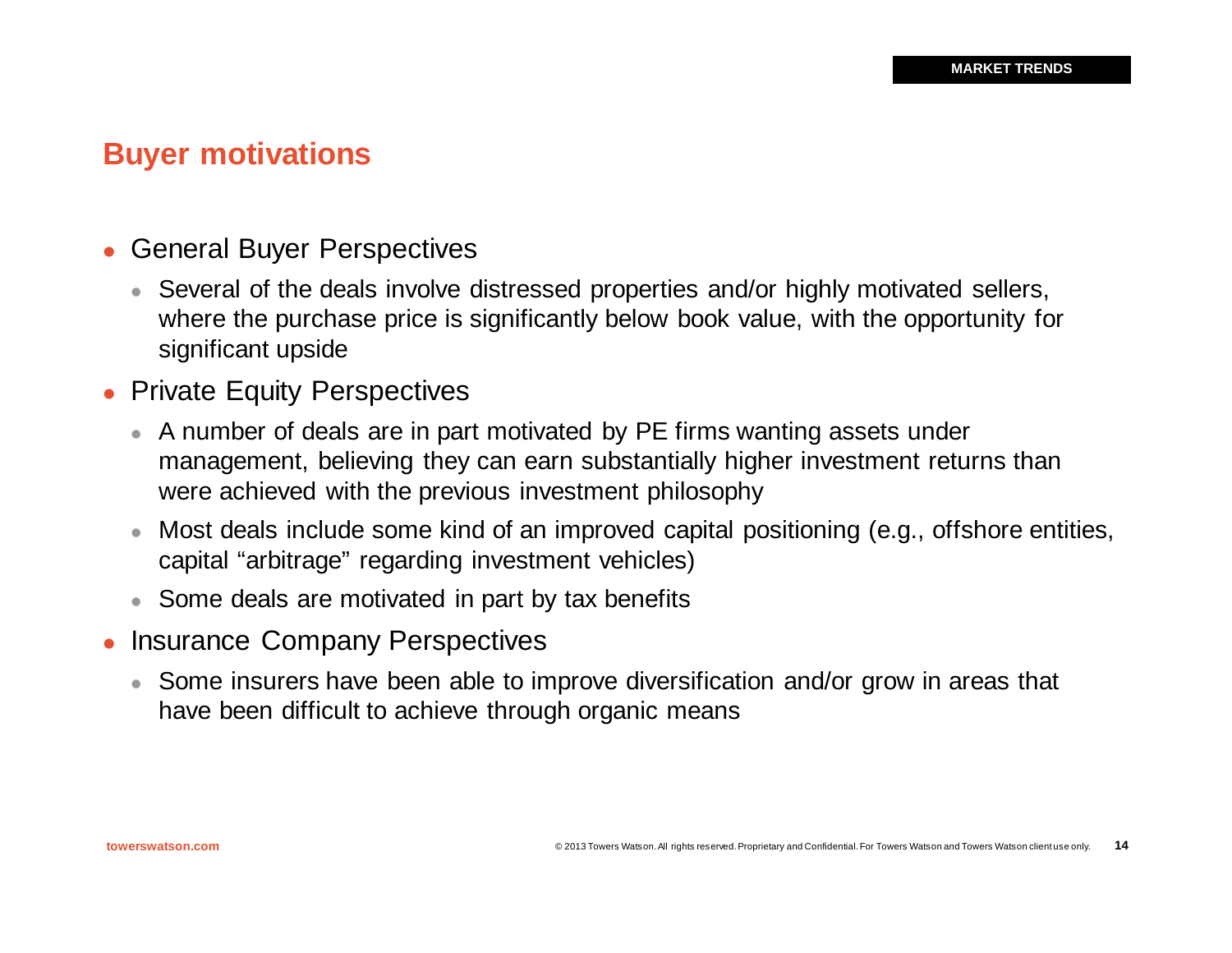**14**

## **Buyer motivations**

- General Buyer Perspectives
	- Several of the deals involve distressed properties and/or highly motivated sellers, where the purchase price is significantly below book value, with the opportunity for significant upside
- Private Equity Perspectives
	- A number of deals are in part motivated by PE firms wanting assets under management, believing they can earn substantially higher investment returns than were achieved with the previous investment philosophy
	- <sup>l</sup> Most deals include some kind of an improved capital positioning (e.g., offshore entities, capital "arbitrage" regarding investment vehicles)
	- Some deals are motivated in part by tax benefits
- **Insurance Company Perspectives** 
	- Some insurers have been able to improve diversification and/or grow in areas that have been difficult to achieve through organic means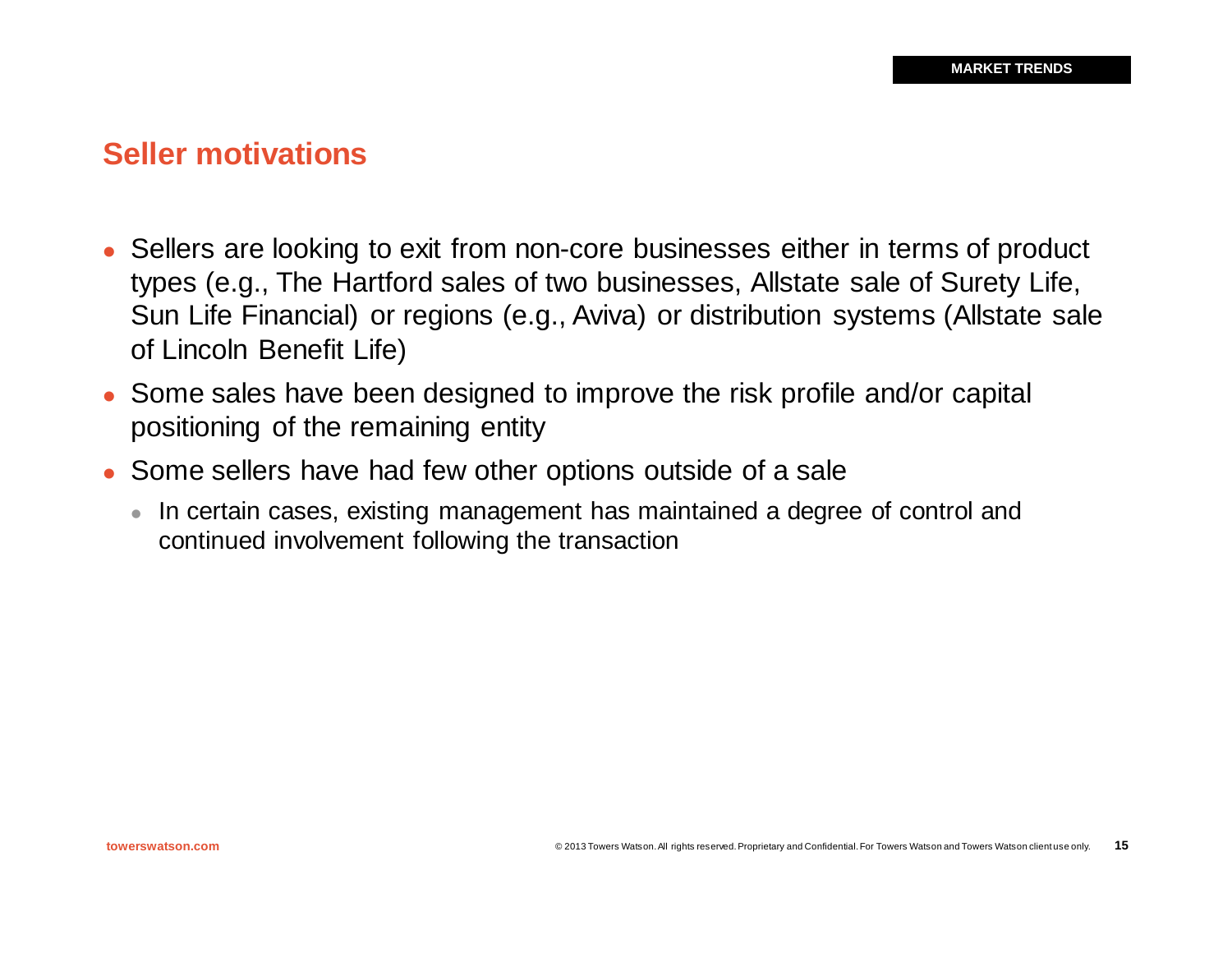#### **Seller motivations**

- Sellers are looking to exit from non-core businesses either in terms of product types (e.g., The Hartford sales of two businesses, Allstate sale of Surety Life, Sun Life Financial) or regions (e.g., Aviva) or distribution systems (Allstate sale of Lincoln Benefit Life)
- Some sales have been designed to improve the risk profile and/or capital positioning of the remaining entity
- Some sellers have had few other options outside of a sale
	- In certain cases, existing management has maintained a degree of control and continued involvement following the transaction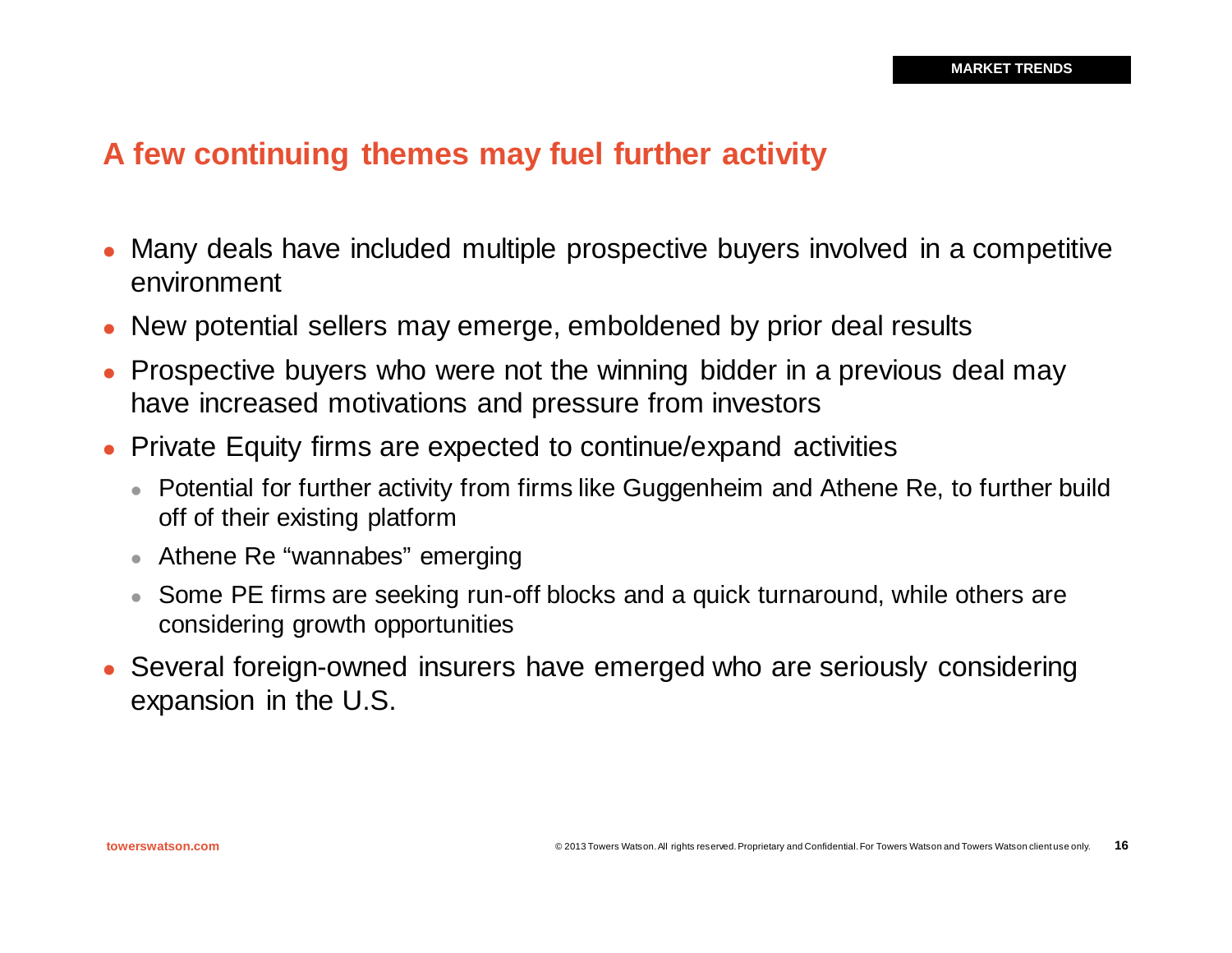#### **A few continuing themes may fuel further activity**

- <sup>l</sup> Many deals have included multiple prospective buyers involved in a competitive environment
- New potential sellers may emerge, emboldened by prior deal results
- Prospective buyers who were not the winning bidder in a previous deal may have increased motivations and pressure from investors
- Private Equity firms are expected to continue/expand activities
	- Potential for further activity from firms like Guggenheim and Athene Re, to further build off of their existing platform
	- Athene Re "wannabes" emerging
	- Some PE firms are seeking run-off blocks and a quick turnaround, while others are considering growth opportunities
- Several foreign-owned insurers have emerged who are seriously considering expansion in the U.S.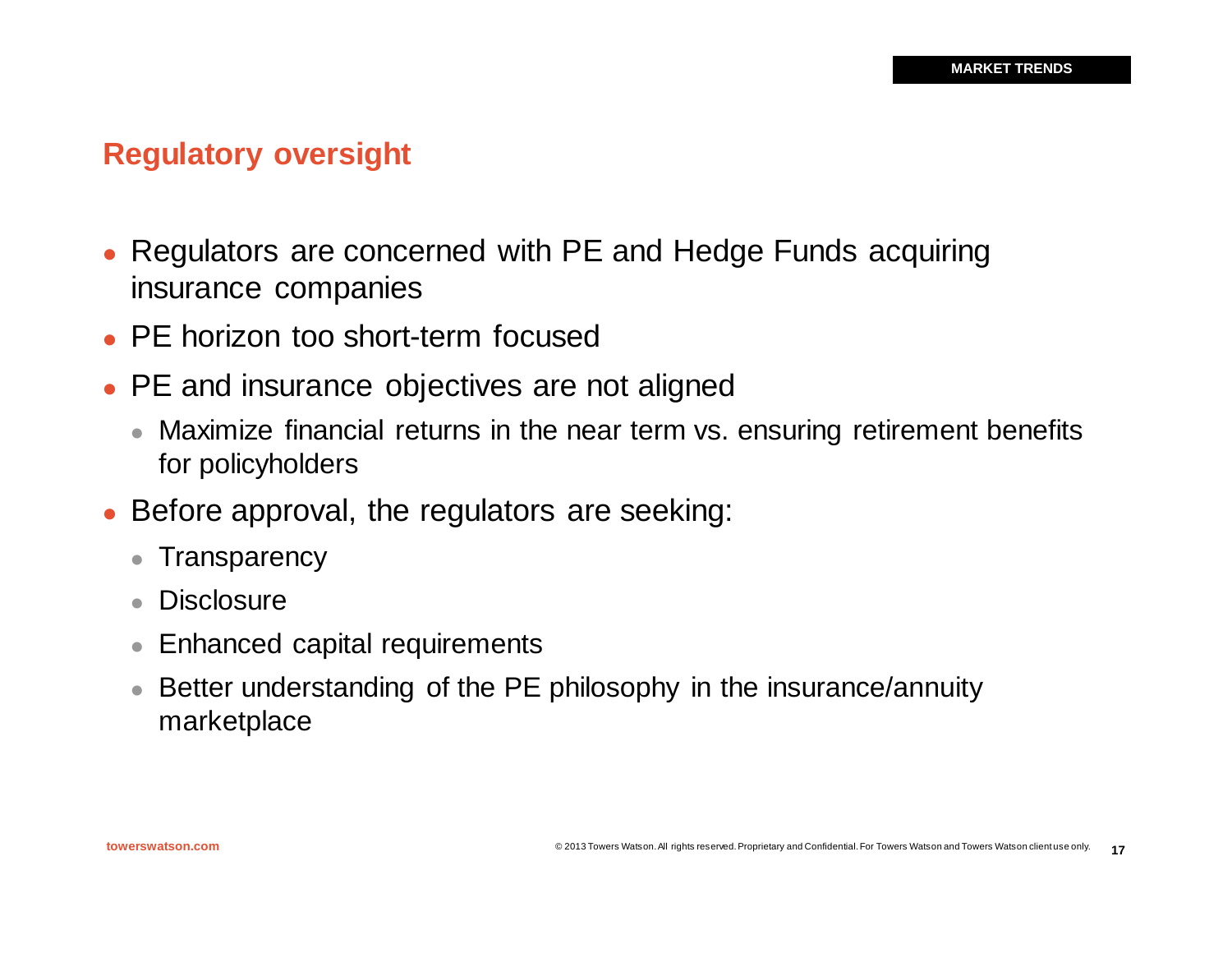# **Regulatory oversight**

- Regulators are concerned with PE and Hedge Funds acquiring insurance companies
- <sup>l</sup> PE horizon too short-term focused
- PE and insurance objectives are not aligned
	- Maximize financial returns in the near term vs. ensuring retirement benefits for policyholders
- Before approval, the regulators are seeking:
	- Transparency
	- **Disclosure**
	- Enhanced capital requirements
	- Better understanding of the PE philosophy in the insurance/annuity marketplace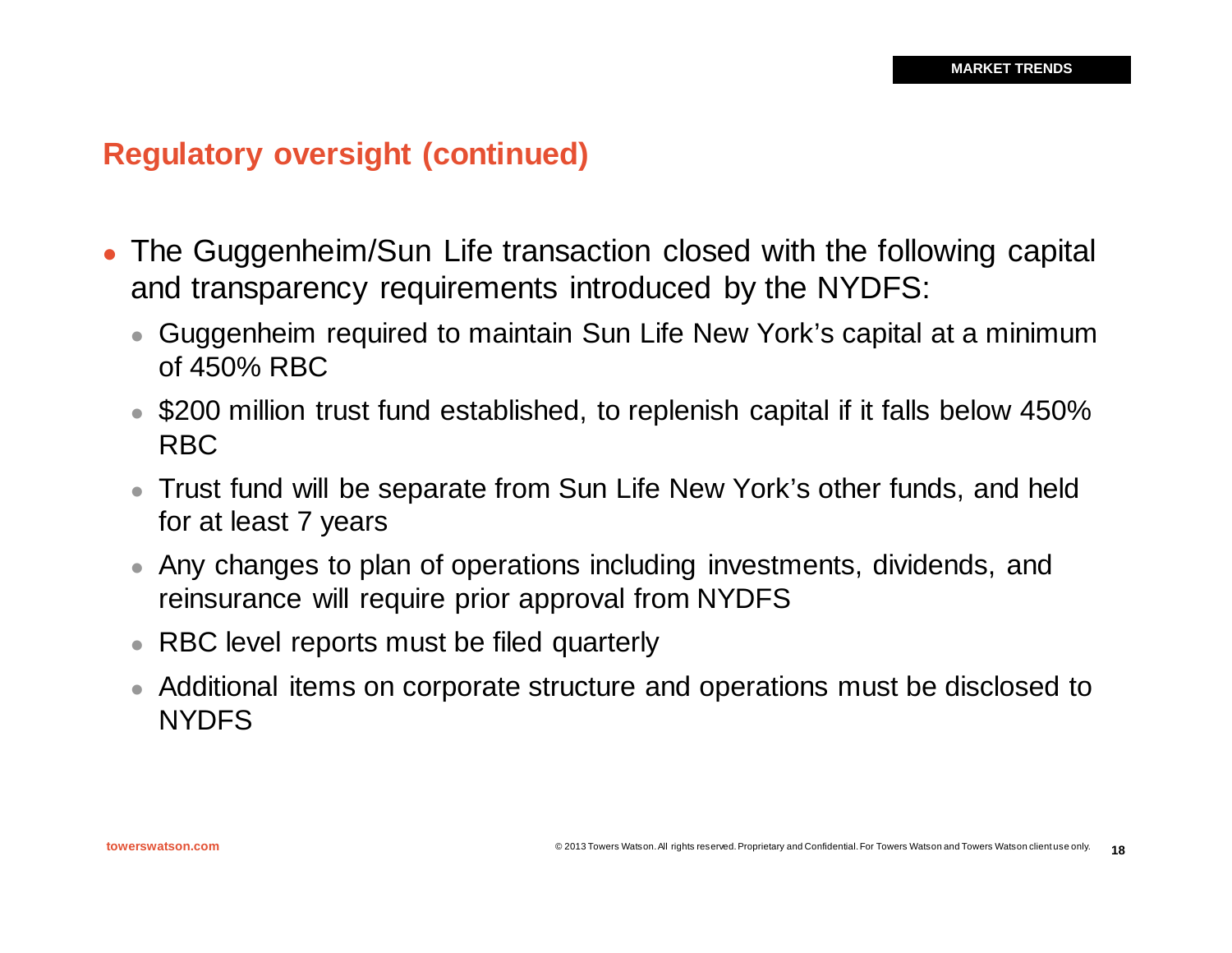## **Regulatory oversight (continued)**

- The Guggenheim/Sun Life transaction closed with the following capital and transparency requirements introduced by the NYDFS:
	- Guggenheim required to maintain Sun Life New York's capital at a minimum of 450% RBC
	- \$200 million trust fund established, to replenish capital if it falls below 450% RBC
	- Trust fund will be separate from Sun Life New York's other funds, and held for at least 7 years
	- Any changes to plan of operations including investments, dividends, and reinsurance will require prior approval from NYDFS
	- RBC level reports must be filed quarterly
	- Additional items on corporate structure and operations must be disclosed to **NYDES**